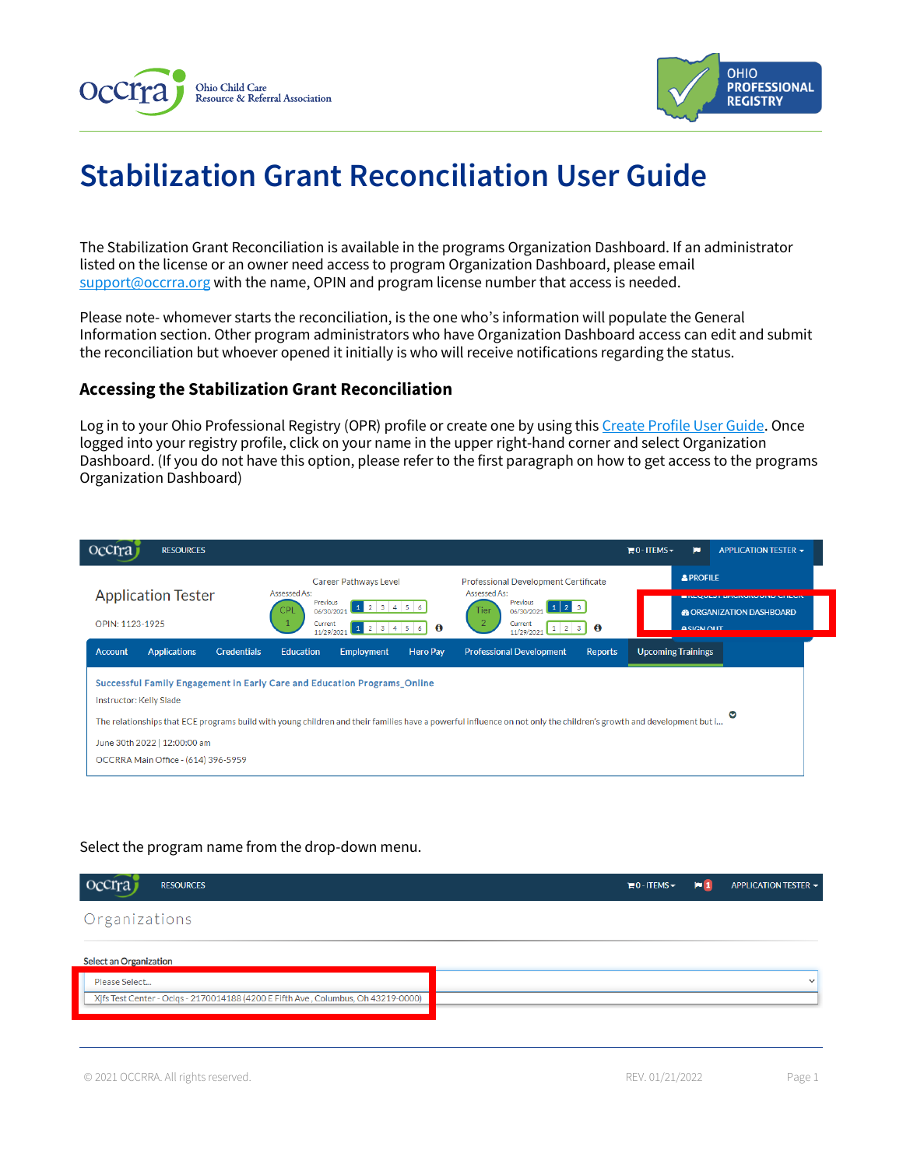



# **Stabilization Grant Reconciliation User Guide**

The Stabilization Grant Reconciliation is available in the programs Organization Dashboard. If an administrator listed on the license or an owner need access to program Organization Dashboard, please email [support@occrra.org](mailto:support@occrra.org) with the name, OPIN and program license number that access is needed.

Please note- whomever starts the reconciliation, is the one who's information will populate the General Information section. Other program administrators who have Organization Dashboard access can edit and submit the reconciliation but whoever opened it initially is who will receive notifications regarding the status.

# **Accessing the Stabilization Grant Reconciliation**

Log in to your Ohio Professional Registry (OPR) profile or create one by using thi[s Create Profile User Guide.](chrome-extension://efaidnbmnnnibpcajpcglclefindmkaj/viewer.html?pdfurl=https%3A%2F%2Fd2hfgw7vtnz2tl.cloudfront.net%2Fwp-content%2Fuploads%2F2021%2F08%2Fopr-create-profile-user-guide.pdf&chunk=true) Once logged into your registry profile, click on your name in the upper right-hand corner and select Organization Dashboard. (If you do not have this option, please refer to the first paragraph on how to get access to the programs Organization Dashboard)

| <b>Occrra</b><br><b>RESOURCES</b>                                                                                                                             |                                                                                                                                                                                                                                                                                                            |                                                                                                                                                                                                                                       | $\mathbb{H}$ 0 - ITEMS $\sim$<br>ю    | APPLICATION TESTER -                                                       |
|---------------------------------------------------------------------------------------------------------------------------------------------------------------|------------------------------------------------------------------------------------------------------------------------------------------------------------------------------------------------------------------------------------------------------------------------------------------------------------|---------------------------------------------------------------------------------------------------------------------------------------------------------------------------------------------------------------------------------------|---------------------------------------|----------------------------------------------------------------------------|
| <b>Application Tester</b><br>OPIN: 1123-1925                                                                                                                  | Career Pathways Level<br>Assessed As:<br>Previous<br>123456<br>CPL<br>06/30/2021<br>Current<br>1 2 3 4 5 6 0<br>11/29/2021                                                                                                                                                                                 | Professional Development Certificate<br>Assessed As:<br>Previous<br>$\begin{array}{ c c c c c }\n\hline\n1 & 2 & 3\n\end{array}$<br>Tier<br>06/30/2021<br>$\overline{2}$<br>Current<br>$1 \quad 2 \quad 3$<br>$\bullet$<br>11/29/2021 | <b>APROFILE</b><br><b>A SIGN OLIT</b> | <b>EINLYVLJI DAVINUNVUTU VIILVI</b><br><b>&amp; ORGANIZATION DASHBOARD</b> |
| <b>Applications</b><br><b>Account</b><br><b>Credentials</b><br>Instructor: Kelly Slade<br>June 30th 2022   12:00:00 am<br>OCCRRA Main Office - (614) 396-5959 | <b>Hero Pav</b><br><b>Education</b><br><b>Employment</b><br>Successful Family Engagement in Early Care and Education Programs_Online<br>The relationships that ECE programs build with young children and their families have a powerful influence on not only the children's growth and development but i | <b>Professional Development</b><br><b>Reports</b>                                                                                                                                                                                     | <b>Upcoming Trainings</b>             |                                                                            |

# Select the program name from the drop-down menu.

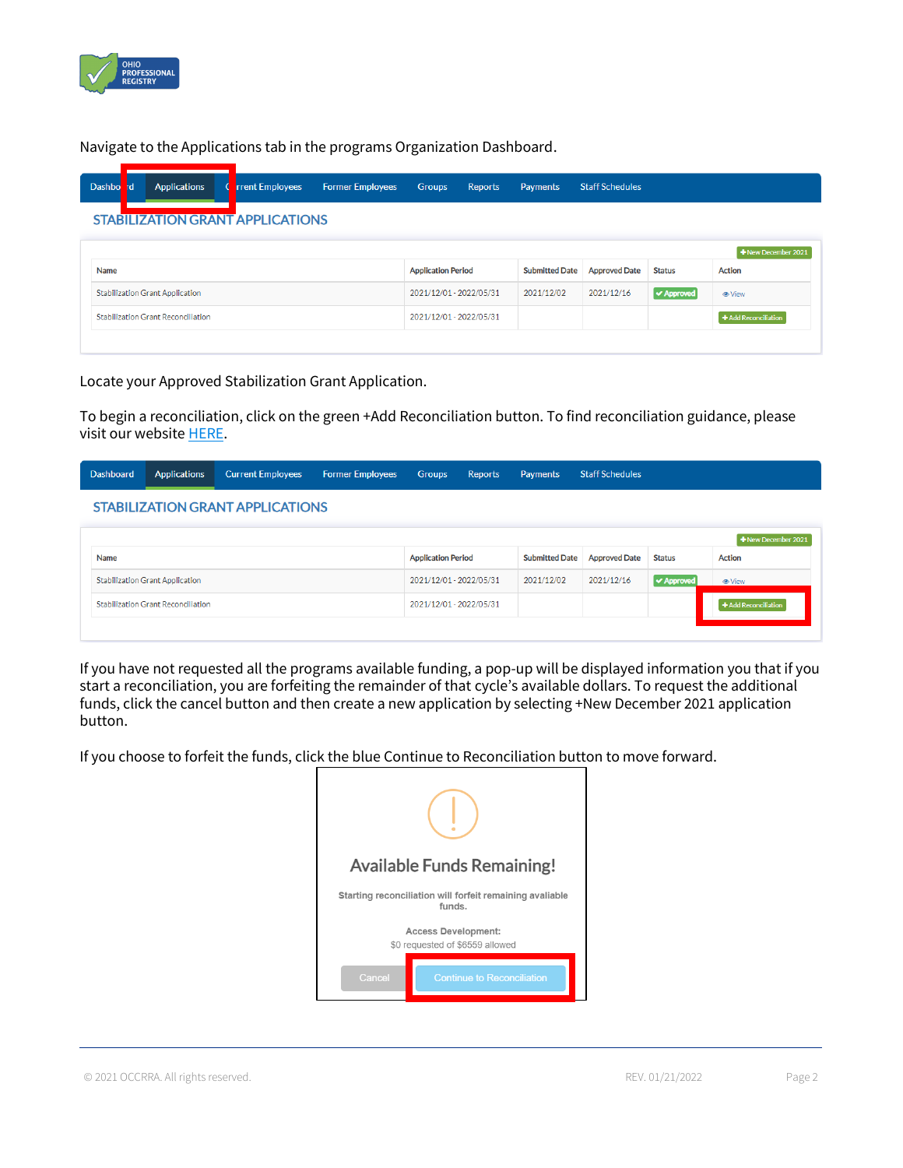

Navigate to the Applications tab in the programs Organization Dashboard.

| <b>Dashbo</b>                             | I d'               | <b>Applications</b>     |                         | <b>rrent Employees</b> | <b>Former Employees</b> | <b>Groups</b>             | <b>Reports</b>       | <b>Payments</b>       | <b>Staff Schedules</b> |               |               |
|-------------------------------------------|--------------------|-------------------------|-------------------------|------------------------|-------------------------|---------------------------|----------------------|-----------------------|------------------------|---------------|---------------|
| <b>STABILIZATION GRANT APPLICATIONS</b>   |                    |                         |                         |                        |                         |                           |                      |                       |                        |               |               |
|                                           | +New December 2021 |                         |                         |                        |                         |                           |                      |                       |                        |               |               |
| Name                                      |                    |                         |                         |                        |                         | <b>Application Period</b> |                      | <b>Submitted Date</b> | <b>Approved Date</b>   | <b>Status</b> | <b>Action</b> |
| <b>Stabilization Grant Application</b>    |                    |                         | 2021/12/01 - 2022/05/31 |                        | 2021/12/02              | 2021/12/16                | <b>√ Approved</b>    | <b>●</b> View         |                        |               |               |
| <b>Stabilization Grant Reconciliation</b> |                    | 2021/12/01 - 2022/05/31 |                         |                        |                         |                           | + Add Reconciliation |                       |                        |               |               |
|                                           |                    |                         |                         |                        |                         |                           |                      |                       |                        |               |               |

Locate your Approved Stabilization Grant Application.

To begin a reconciliation, click on the green +Add Reconciliation button. To find reconciliation guidance, please visit our websit[e HERE.](https://occrra.org/ohio-professional-registry/one-time-pandemic-payment-2/)

#### **Staff Schedules** Dashboard Groups Applications **Current Employees Former Employees** Reports Payments **STABILIZATION GRANT APPLICATIONS**

|                                           |                           |            |                              |                   | $\pm$ New December 2021 |
|-------------------------------------------|---------------------------|------------|------------------------------|-------------------|-------------------------|
| Name                                      | <b>Application Period</b> |            | Submitted Date Approved Date | <b>Status</b>     | <b>Action</b>           |
| <b>Stabilization Grant Application</b>    | 2021/12/01 - 2022/05/31   | 2021/12/02 | 2021/12/16                   | <b>√ Approved</b> | <b>⊕</b> View           |
| <b>Stabilization Grant Reconciliation</b> | 2021/12/01 - 2022/05/31   |            |                              |                   | + Add Reconciliation    |
|                                           |                           |            |                              |                   |                         |

If you have not requested all the programs available funding, a pop-up will be displayed information you that if you start a reconciliation, you are forfeiting the remainder of that cycle's available dollars. To request the additional funds, click the cancel button and then create a new application by selecting +New December 2021 application button.

If you choose to forfeit the funds, click the blue Continue to Reconciliation button to move forward.

| <b>Available Funds Remaining!</b>                                  |                                   |  |  |  |
|--------------------------------------------------------------------|-----------------------------------|--|--|--|
| Starting reconciliation will forfeit remaining avaliable<br>funds. |                                   |  |  |  |
| <b>Access Development:</b><br>\$0 requested of \$6559 allowed      |                                   |  |  |  |
| Cancel                                                             | <b>Continue to Reconciliation</b> |  |  |  |

© 2021 OCCRRA. All rights reserved. REV. 01/21/2022 Page 2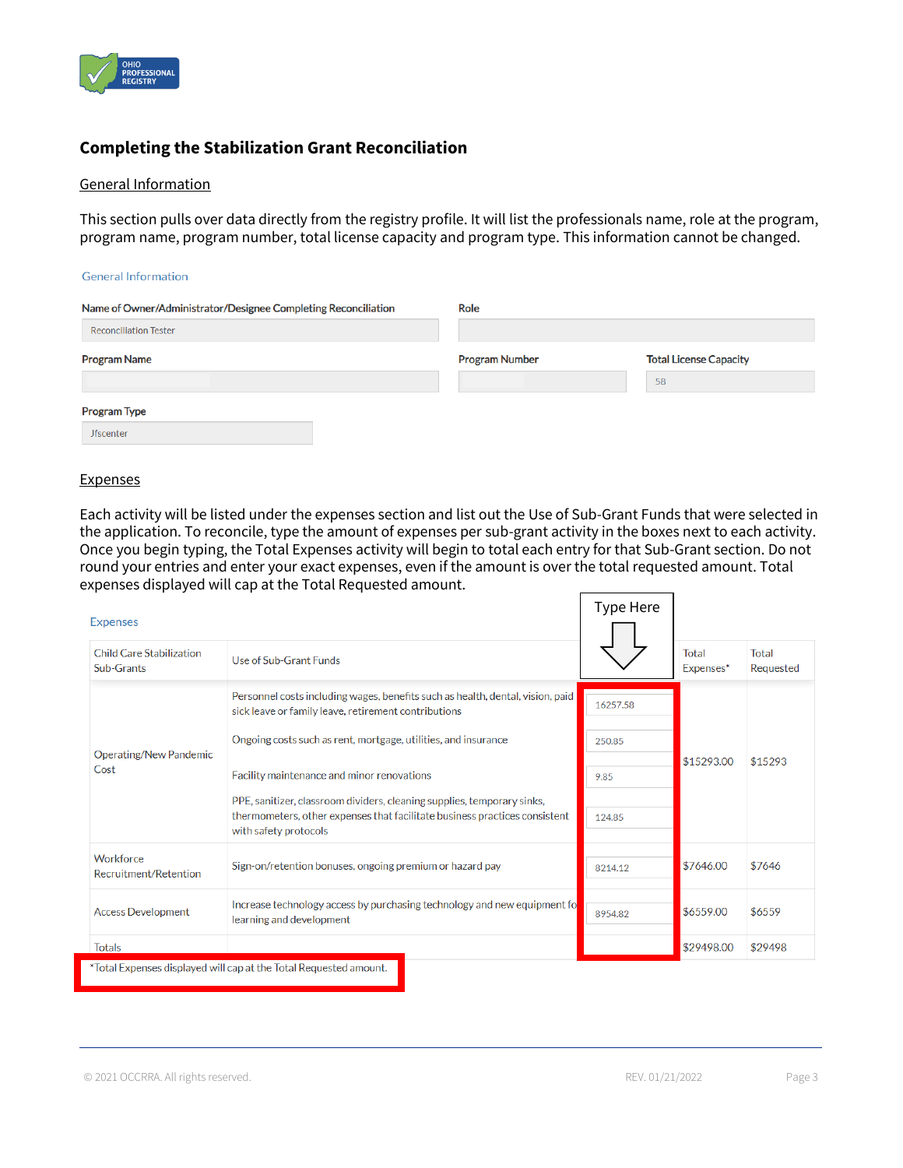

# **Completing the Stabilization Grant Reconciliation**

#### General Information

This section pulls over data directly from the registry profile. It will list the professionals name, role at the program, program name, program number, total license capacity and program type. This information cannot be changed.

#### **General Information**

| Name of Owner/Administrator/Designee Completing Reconciliation | Role                  |                               |  |  |  |  |
|----------------------------------------------------------------|-----------------------|-------------------------------|--|--|--|--|
| <b>Reconciliation Tester</b>                                   |                       |                               |  |  |  |  |
| <b>Program Name</b>                                            | <b>Program Number</b> | <b>Total License Capacity</b> |  |  |  |  |
|                                                                |                       | 58                            |  |  |  |  |
| <b>Program Type</b>                                            |                       |                               |  |  |  |  |
| <b>Jfscenter</b>                                               |                       |                               |  |  |  |  |

#### **Expenses**

Each activity will be listed under the expenses section and list out the Use of Sub-Grant Funds that were selected in the application. To reconcile, type the amount of expenses per sub-grant activity in the boxes next to each activity. Once you begin typing, the Total Expenses activity will begin to total each entry for that Sub-Grant section. Do not round your entries and enter your exact expenses, even if the amount is over the total requested amount. Total expenses displayed will cap at the Total Requested amount.  $\overline{ }$ 

| <b>Expenses</b>                        |                                                                                                                                                       | <b>Type Here</b> |                    |                    |
|----------------------------------------|-------------------------------------------------------------------------------------------------------------------------------------------------------|------------------|--------------------|--------------------|
| Child Care Stabilization<br>Sub-Grants | Use of Sub-Grant Funds                                                                                                                                |                  | Total<br>Expenses* | Total<br>Requested |
|                                        | Personnel costs including wages, benefits such as health, dental, vision, paid<br>sick leave or family leave, retirement contributions                | 16257.58         |                    |                    |
| Operating/New Pandemic                 | Ongoing costs such as rent, mortgage, utilities, and insurance                                                                                        | 250.85           |                    | \$15293            |
| Cost                                   | Facility maintenance and minor renovations                                                                                                            | 9.85             | \$15293.00         |                    |
|                                        | PPE, sanitizer, classroom dividers, cleaning supplies, temporary sinks,<br>thermometers, other expenses that facilitate business practices consistent |                  |                    |                    |
|                                        | with safety protocols                                                                                                                                 | 124.85           |                    |                    |
| Workforce<br>Recruitment/Retention     | Sign-on/retention bonuses, ongoing premium or hazard pay                                                                                              | 8214.12          | \$7646.00          | \$7646             |
| <b>Access Development</b>              | Increase technology access by purchasing technology and new equipment fo<br>learning and development                                                  | 8954.82          | \$6559.00          | \$6559             |
| <b>Totals</b>                          |                                                                                                                                                       |                  | \$29498.00         | \$29498            |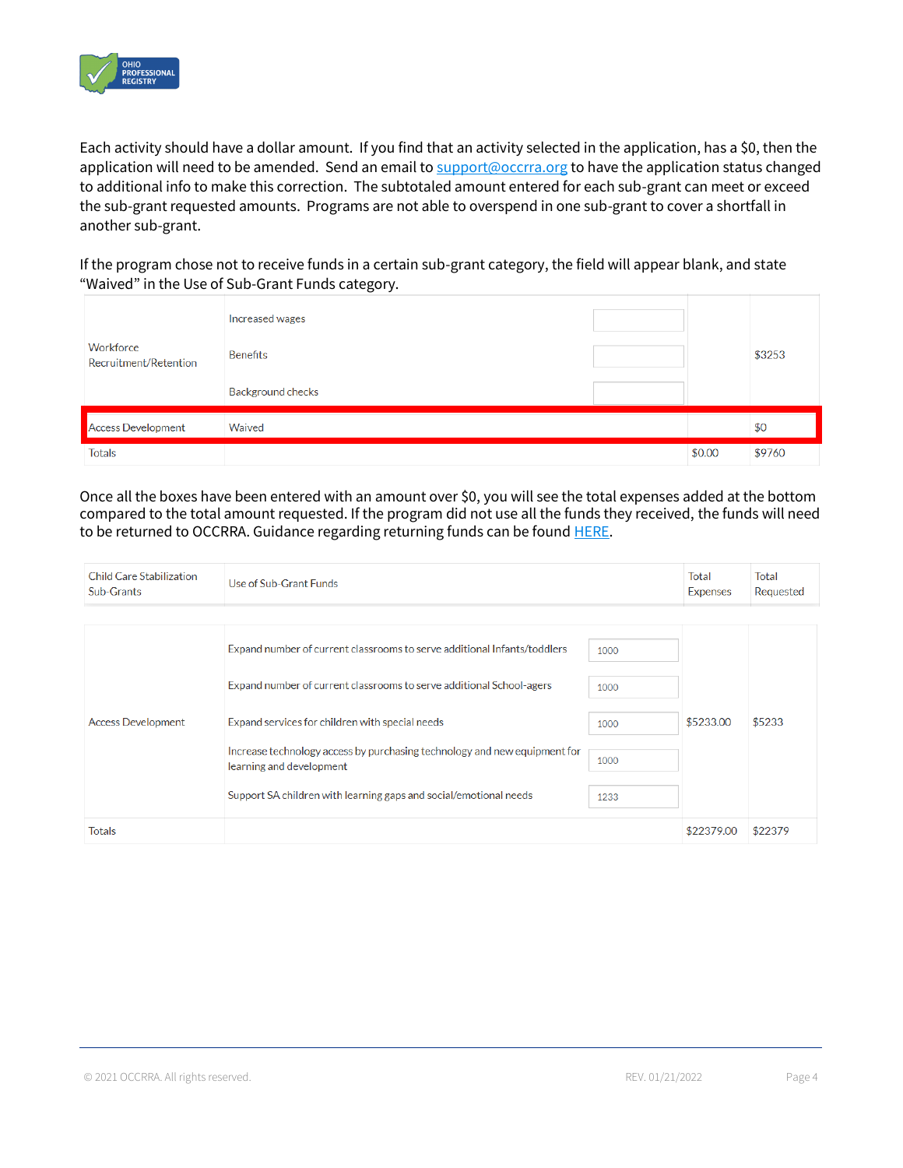

Each activity should have a dollar amount. If you find that an activity selected in the application, has a \$0, then the application will need to be amended. Send an email t[o support@occrra.org](mailto:support@occrra.org) to have the application status changed to additional info to make this correction. The subtotaled amount entered for each sub-grant can meet or exceed the sub-grant requested amounts. Programs are not able to overspend in one sub-grant to cover a shortfall in another sub-grant.

If the program chose not to receive funds in a certain sub-grant category, the field will appear blank, and state "Waived" in the Use of Sub-Grant Funds category.

| Workforce<br>Recruitment/Retention | Increased wages<br><b>Benefits</b> |        | \$3253 |
|------------------------------------|------------------------------------|--------|--------|
|                                    | <b>Background checks</b>           |        |        |
| <b>Access Development</b>          | Waived                             |        | \$0    |
| <b>Totals</b>                      |                                    | \$0.00 | \$9760 |

Once all the boxes have been entered with an amount over \$0, you will see the total expenses added at the bottom compared to the total amount requested. If the program did not use all the funds they received, the funds will need to be returned to OCCRRA. Guidance regarding returning funds can be foun[d HERE.](https://occrra.org/ohio-professional-registry/one-time-pandemic-payment-2/)

| <b>Child Care Stabilization</b><br>Sub-Grants | Use of Sub-Grant Funds                                                                                |      |            | Total<br>Requested |
|-----------------------------------------------|-------------------------------------------------------------------------------------------------------|------|------------|--------------------|
|                                               |                                                                                                       |      |            |                    |
|                                               | Expand number of current classrooms to serve additional Infants/toddlers                              | 1000 |            |                    |
|                                               | Expand number of current classrooms to serve additional School-agers                                  | 1000 | \$5233.00  | \$5233             |
| <b>Access Development</b>                     | Expand services for children with special needs                                                       | 1000 |            |                    |
|                                               | Increase technology access by purchasing technology and new equipment for<br>learning and development | 1000 |            |                    |
|                                               | Support SA children with learning gaps and social/emotional needs                                     | 1233 |            |                    |
| <b>Totals</b>                                 |                                                                                                       |      | \$22379.00 | \$22379            |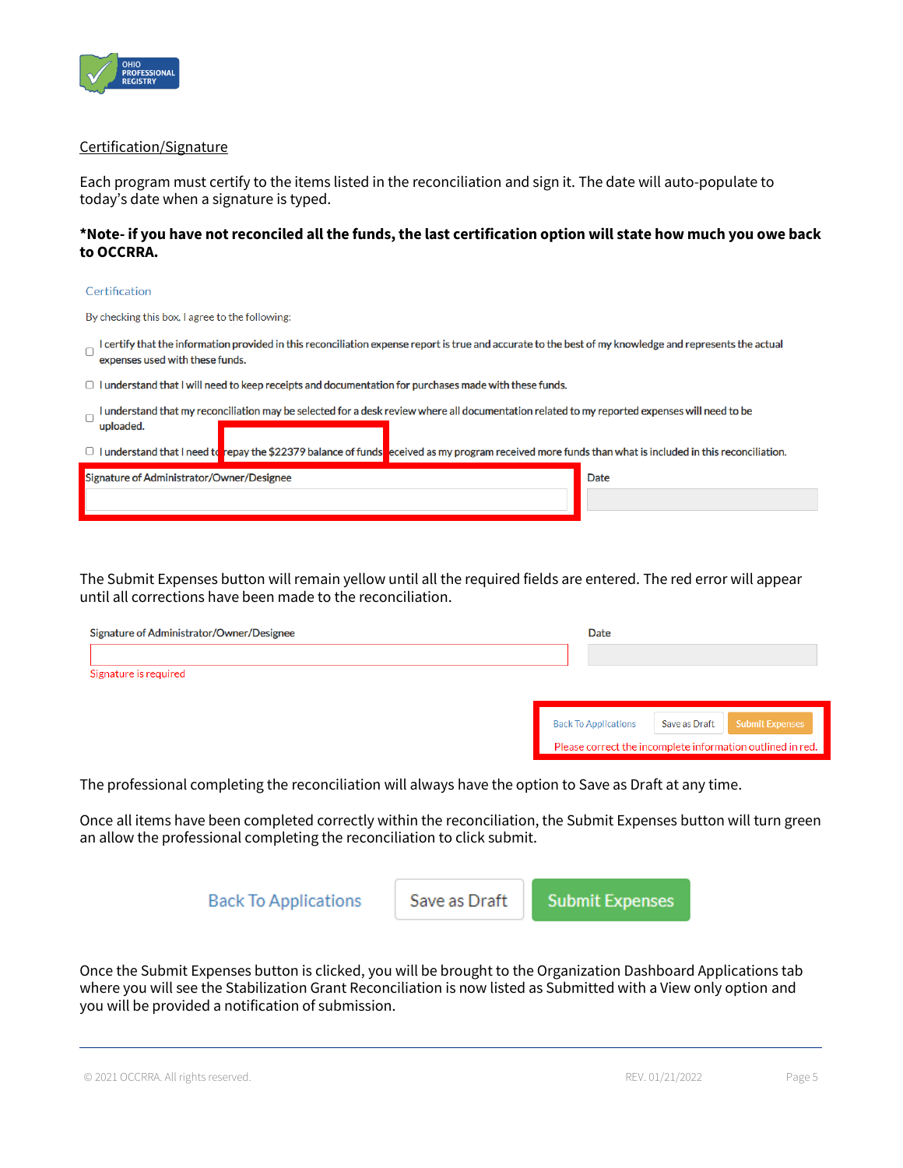

### Certification/Signature

Each program must certify to the items listed in the reconciliation and sign it. The date will auto-populate to today's date when a signature is typed.

## **\*Note- if you have not reconciled all the funds, the last certification option will state how much you owe back to OCCRRA.**

#### Certification

By checking this box, I agree to the following:

- I certify that the information provided in this reconciliation expense report is true and accurate to the best of my knowledge and represents the actual expenses used with these funds.
- $\Box$  I understand that I will need to keep receipts and documentation for purchases made with these funds.
- I understand that my reconciliation may be selected for a desk review where all documentation related to my reported expenses will need to be uploaded.

|  |  | $\Box$ I understand that I need to repay the \$22379 balance of funds eceived as my program received more funds than what is included in this reconciliation. |
|--|--|---------------------------------------------------------------------------------------------------------------------------------------------------------------|
|--|--|---------------------------------------------------------------------------------------------------------------------------------------------------------------|

| Signature of Administrator/Owner/Designee | <b>Date</b> |
|-------------------------------------------|-------------|
|                                           |             |
|                                           |             |

The Submit Expenses button will remain yellow until all the required fields are entered. The red error will appear until all corrections have been made to the reconciliation.

| Signature of Administrator/Owner/Designee | Date                        |               |                                                            |
|-------------------------------------------|-----------------------------|---------------|------------------------------------------------------------|
|                                           |                             |               |                                                            |
| Signature is required                     |                             |               |                                                            |
|                                           |                             |               |                                                            |
|                                           | <b>Back To Applications</b> | Save as Draft | <b>Submit Expenses</b>                                     |
|                                           |                             |               | Please correct the incomplete information outlined in red. |

The professional completing the reconciliation will always have the option to Save as Draft at any time.

Once all items have been completed correctly within the reconciliation, the Submit Expenses button will turn green an allow the professional completing the reconciliation to click submit.



Once the Submit Expenses button is clicked, you will be brought to the Organization Dashboard Applications tab where you will see the Stabilization Grant Reconciliation is now listed as Submitted with a View only option and you will be provided a notification of submission.

© 2021 OCCRRA. All rights reserved. REV. 01/21/2022 Page 5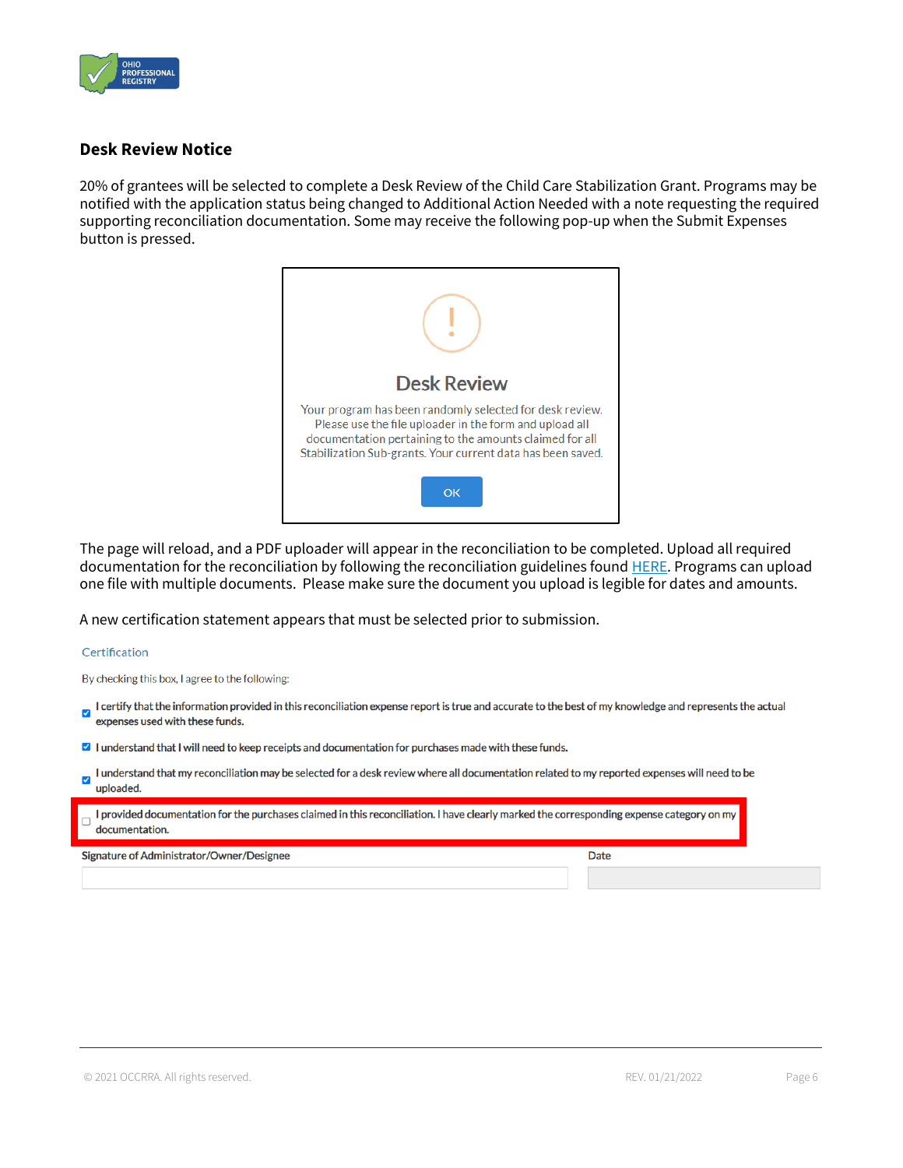

# **Desk Review Notice**

20% of grantees will be selected to complete a Desk Review of the Child Care Stabilization Grant. Programs may be notified with the application status being changed to Additional Action Needed with a note requesting the required supporting reconciliation documentation. Some may receive the following pop-up when the Submit Expenses button is pressed.



The page will reload, and a PDF uploader will appear in the reconciliation to be completed. Upload all required documentation for the reconciliation by following the reconciliation guidelines found **HERE**. Programs can upload one file with multiple documents. Please make sure the document you upload is legible for dates and amounts.

A new certification statement appears that must be selected prior to submission.

#### Certification

By checking this box, I agree to the following:

- I certify that the information provided in this reconciliation expense report is true and accurate to the best of my knowledge and represents the actual  $\overline{\mathbf{v}}$ expenses used with these funds.
- I understand that I will need to keep receipts and documentation for purchases made with these funds.
- I understand that my reconciliation may be selected for a desk review where all documentation related to my reported expenses will need to be V uploaded.

| $\Box$ I provided documentation for the purchases claimed in this reconciliation. I have clearly marked the corresponding expense category on my |  |
|--------------------------------------------------------------------------------------------------------------------------------------------------|--|
| $\overline{\phantom{a}}$ documentation.                                                                                                          |  |

Signature of Administrator/Owner/Designee

**Date**